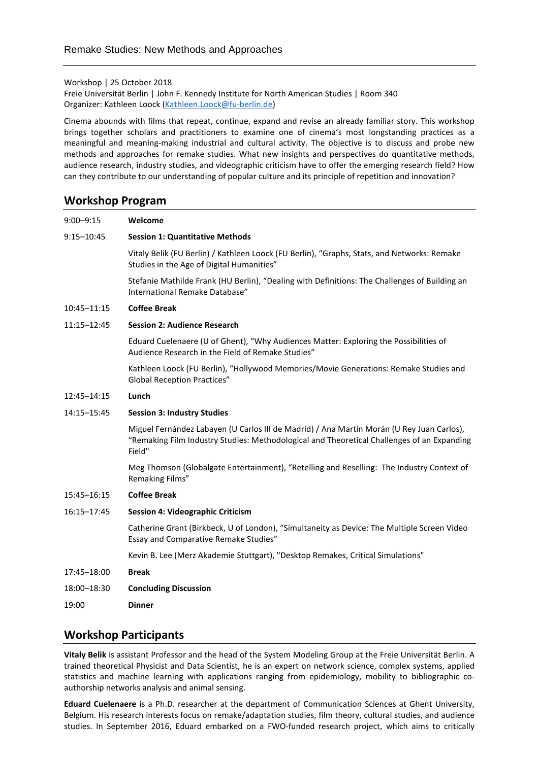Workshop | 25 October 2018

Freie Universität Berlin | John F. Kennedy Institute for North American Studies | Room 340 Organizer: Kathleen Loock [\(Kathleen.Loock@fu-berlin.de\)](mailto:Kathleen.Loock@fu-berlin.de)

Cinema abounds with films that repeat, continue, expand and revise an already familiar story. This workshop brings together scholars and practitioners to examine one of cinema's most longstanding practices as a meaningful and meaning-making industrial and cultural activity. The objective is to discuss and probe new methods and approaches for remake studies. What new insights and perspectives do quantitative methods, audience research, industry studies, and videographic criticism have to offer the emerging research field? How can they contribute to our understanding of popular culture and its principle of repetition and innovation?

## **Workshop Program**

9:00–9:15 **Welcome** 9:15–10:45 **Session 1: Quantitative Methods** Vitaly Belik (FU Berlin) / Kathleen Loock (FU Berlin), "Graphs, Stats, and Networks: Remake Studies in the Age of Digital Humanities" Stefanie Mathilde Frank (HU Berlin), "Dealing with Definitions: The Challenges of Building an International Remake Database" 10:45–11:15 **Coffee Break** 11:15–12:45 **Session 2: Audience Research** Eduard Cuelenaere (U of Ghent), "Why Audiences Matter: Exploring the Possibilities of Audience Research in the Field of Remake Studies" Kathleen Loock (FU Berlin), "Hollywood Memories/Movie Generations: Remake Studies and Global Reception Practices" 12:45–14:15 **Lunch** 14:15–15:45 **Session 3: Industry Studies** Miguel Fernández Labayen (U Carlos III de Madrid) / Ana Martín Morán (U Rey Juan Carlos), "Remaking Film Industry Studies: Methodological and Theoretical Challenges of an Expanding Field" Meg Thomson (Globalgate Entertainment), "Retelling and Reselling: The Industry Context of Remaking Films" 15:45–16:15 **Coffee Break** 16:15–17:45 **Session 4: Videographic Criticism** Catherine Grant (Birkbeck, U of London), "Simultaneity as Device: The Multiple Screen Video Essay and Comparative Remake Studies" Kevin B. Lee (Merz Akademie Stuttgart), "Desktop Remakes, Critical Simulations" 17:45–18:00 **Break** 18:00–18:30 **Concluding Discussion** 19:00 **Dinner**

## **Workshop Participants**

**Vitaly Belik** is assistant Professor and the head of the System Modeling Group at the Freie Universität Berlin. A trained theoretical Physicist and Data Scientist, he is an expert on network science, complex systems, applied statistics and machine learning with applications ranging from epidemiology, mobility to bibliographic coauthorship networks analysis and animal sensing.

**Eduard Cuelenaere** is a Ph.D. researcher at the department of Communication Sciences at Ghent University, Belgium. His research interests focus on remake/adaptation studies, film theory, cultural studies, and audience studies. In September 2016, Eduard embarked on a FWO-funded research project, which aims to critically